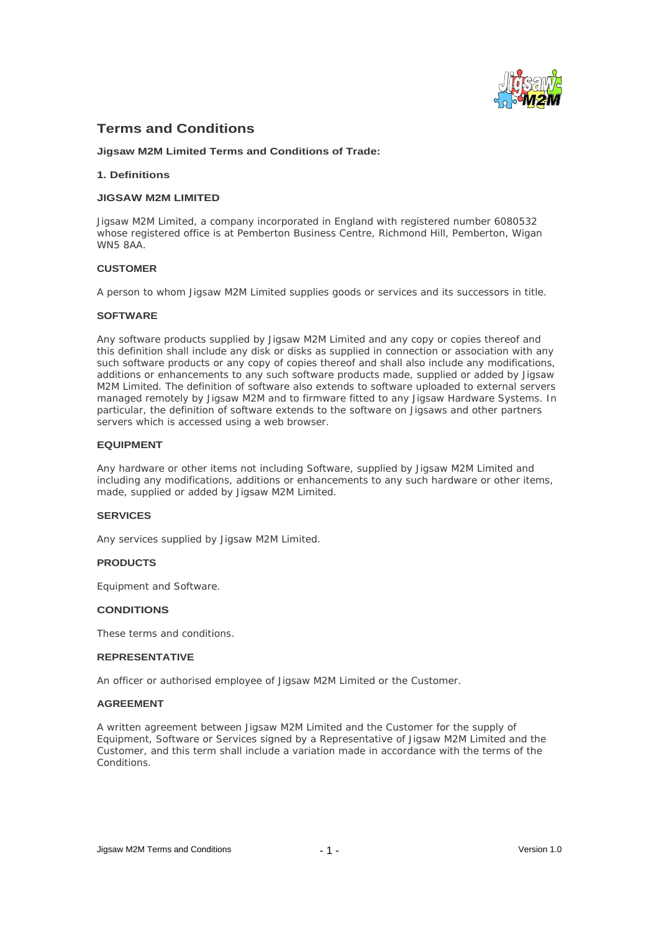

# **Terms and Conditions**

**Jigsaw M2M Limited Terms and Conditions of Trade:**

## **1. Definitions**

#### **JIGSAW M2M LIMITED**

Jigsaw M2M Limited, a company incorporated in England with registered number 6080532 whose registered office is at Pemberton Business Centre, Richmond Hill, Pemberton, Wigan WN5 8AA.

## **CUSTOMER**

A person to whom Jigsaw M2M Limited supplies goods or services and its successors in title.

## **SOFTWARE**

Any software products supplied by Jigsaw M2M Limited and any copy or copies thereof and this definition shall include any disk or disks as supplied in connection or association with any such software products or any copy of copies thereof and shall also include any modifications, additions or enhancements to any such software products made, supplied or added by Jigsaw M2M Limited. The definition of software also extends to software uploaded to external servers managed remotely by Jigsaw M2M and to firmware fitted to any Jigsaw Hardware Systems. In particular, the definition of software extends to the software on Jigsaws and other partners servers which is accessed using a web browser.

## **EQUIPMENT**

Any hardware or other items not including Software, supplied by Jigsaw M2M Limited and including any modifications, additions or enhancements to any such hardware or other items, made, supplied or added by Jigsaw M2M Limited.

#### **SERVICES**

Any services supplied by Jigsaw M2M Limited.

#### **PRODUCTS**

Equipment and Software.

#### **CONDITIONS**

These terms and conditions.

#### **REPRESENTATIVE**

An officer or authorised employee of Jigsaw M2M Limited or the Customer.

## **AGREEMENT**

A written agreement between Jigsaw M2M Limited and the Customer for the supply of Equipment, Software or Services signed by a Representative of Jigsaw M2M Limited and the Customer, and this term shall include a variation made in accordance with the terms of the **Conditions**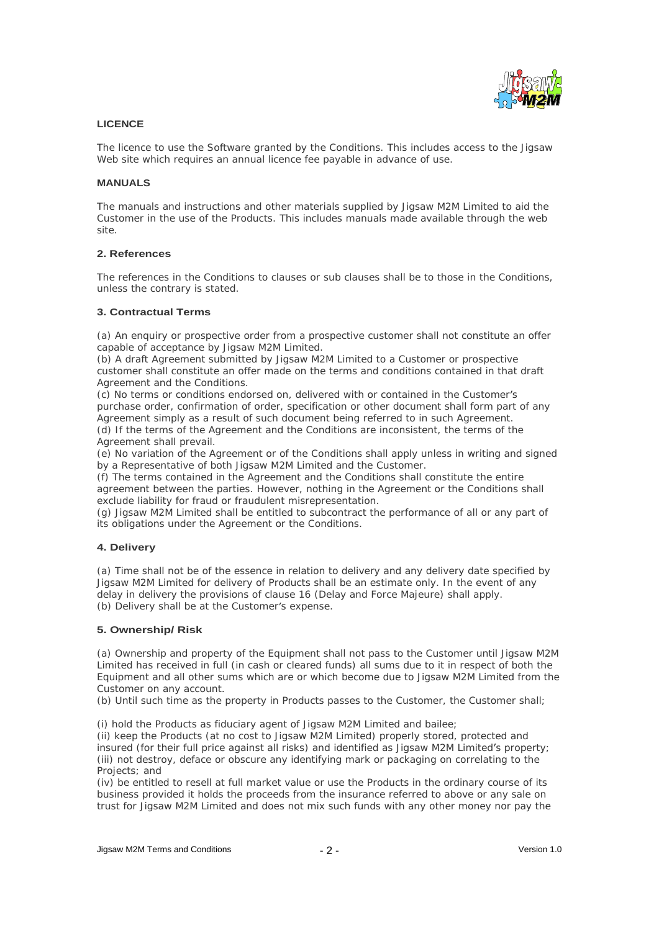

## **LICENCE**

The licence to use the Software granted by the Conditions. This includes access to the Jigsaw Web site which requires an annual licence fee payable in advance of use.

## **MANUALS**

The manuals and instructions and other materials supplied by Jigsaw M2M Limited to aid the Customer in the use of the Products. This includes manuals made available through the web site. The contract of the contract of the contract of the contract of the contract of the contract of the contract of the contract of the contract of the contract of the contract of the contract of the contract of the cont

# **2. References**

The references in the Conditions to clauses or sub clauses shall be to those in the Conditions, unless the contrary is stated.

## **3. Contractual Terms**

(a) An enquiry or prospective order from a prospective customer shall not constitute an offer capable of acceptance by Jigsaw M2M Limited.

(b) A draft Agreement submitted by Jigsaw M2M Limited to a Customer or prospective customer shall constitute an offer made on the terms and conditions contained in that draft Agreement and the Conditions.

(c) No terms or conditions endorsed on, delivered with or contained in the Customer s purchase order, confirmation of order, specification or other document shall form part of any Agreement simply as a result of such document being referred to in such Agreement. (d) If the terms of the Agreement and the Conditions are inconsistent, the terms of the Agreement shall prevail.

(e) No variation of the Agreement or of the Conditions shall apply unless in writing and signed by a Representative of both Jigsaw M2M Limited and the Customer.

(f) The terms contained in the Agreement and the Conditions shall constitute the entire agreement between the parties. However, nothing in the Agreement or the Conditions shall exclude liability for fraud or fraudulent misrepresentation.

(g) Jigsaw M2M Limited shall be entitled to subcontract the performance of all or any part of its obligations under the Agreement or the Conditions.

# **4. Delivery**

(a) Time shall not be of the essence in relation to delivery and any delivery date specified by Jigsaw M2M Limited for delivery of Products shall be an estimate only. In the event of any delay in delivery the provisions of clause 16 (Delay and Force Majeure) shall apply. (b) Delivery shall be at the Customer's expense.

#### **5. Ownership/ Risk**

(a) Ownership and property of the Equipment shall not pass to the Customer until Jigsaw M2M Limited has received in full (in cash or cleared funds) all sums due to it in respect of both the Equipment and all other sums which are or which become due to Jigsaw M2M Limited from the Customer on any account.

(b) Until such time as the property in Products passes to the Customer, the Customer shall;

(i) hold the Products as fiduciary agent of Jigsaw M2M Limited and bailee;

(ii) keep the Products (at no cost to Jigsaw M2M Limited) properly stored, protected and insured (for their full price against all risks) and identified as Jigsaw M2M Limited's property; (iii) not destroy, deface or obscure any identifying mark or packaging on correlating to the Projects; and

(iv) be entitled to resell at full market value or use the Products in the ordinary course of its business provided it holds the proceeds from the insurance referred to above or any sale on trust for Jigsaw M2M Limited and does not mix such funds with any other money nor pay the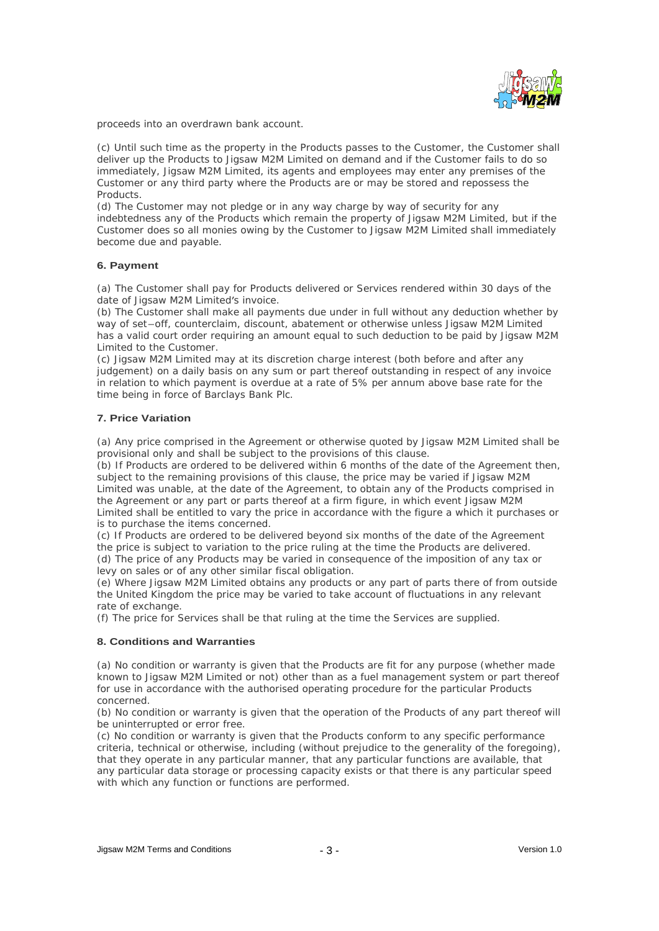

proceeds into an overdrawn bank account.

(c) Until such time as the property in the Products passes to the Customer, the Customer shall deliver up the Products to Jigsaw M2M Limited on demand and if the Customer fails to do so immediately, Jigsaw M2M Limited, its agents and employees may enter any premises of the Customer or any third party where the Products are or may be stored and repossess the Products. The contract of the contract of the contract of the contract of the contract of the contract of the contract of the contract of the contract of the contract of the contract of the contract of the contract of the

(d) The Customer may not pledge or in any way charge by way of security for any indebtedness any of the Products which remain the property of Jigsaw M2M Limited, but if the Customer does so all monies owing by the Customer to Jigsaw M2M Limited shall immediately become due and payable.

## **6. Payment**

(a) The Customer shall pay for Products delivered or Services rendered within 30 days of the date of Jigsaw M2M Limited's invoice.

(b) The Customer shall make all payments due under in full without any deduction whether by way of set-off, counterclaim, discount, abatement or otherwise unless Jigsaw M2M Limited has a valid court order requiring an amount equal to such deduction to be paid by Jigsaw M2M Limited to the Customer.

(c) Jigsaw M2M Limited may at its discretion charge interest (both before and after any judgement) on a daily basis on any sum or part thereof outstanding in respect of any invoice in relation to which payment is overdue at a rate of 5% per annum above base rate for the time being in force of Barclays Bank Plc.

## **7. Price Variation**

(a) Any price comprised in the Agreement or otherwise quoted by Jigsaw M2M Limited shall be provisional only and shall be subject to the provisions of this clause.

(b) If Products are ordered to be delivered within 6 months of the date of the Agreement then, subject to the remaining provisions of this clause, the price may be varied if Jigsaw M2M Limited was unable, at the date of the Agreement, to obtain any of the Products comprised in the Agreement or any part or parts thereof at a firm figure, in which event Jigsaw M2M Limited shall be entitled to vary the price in accordance with the figure a which it purchases or is to purchase the items concerned.

(c) If Products are ordered to be delivered beyond six months of the date of the Agreement the price is subject to variation to the price ruling at the time the Products are delivered. (d) The price of any Products may be varied in consequence of the imposition of any tax or levy on sales or of any other similar fiscal obligation.

(e) Where Jigsaw M2M Limited obtains any products or any part of parts there of from outside the United Kingdom the price may be varied to take account of fluctuations in any relevant rate of exchange.

(f) The price for Services shall be that ruling at the time the Services are supplied.

## **8. Conditions and Warranties**

(a) No condition or warranty is given that the Products are fit for any purpose (whether made known to Jigsaw M2M Limited or not) other than as a fuel management system or part thereof for use in accordance with the authorised operating procedure for the particular Products concerned. The concerned of the concerned of the concerned of the concerned of the concerned of the concerned of the concerned of the concerned of the concerned of the concerned of the concerned of the concerned of the con

(b) No condition or warranty is given that the operation of the Products of any part thereof will be uninterrupted or error free.

(c) No condition or warranty is given that the Products conform to any specific performance criteria, technical or otherwise, including (without prejudice to the generality of the foregoing), that they operate in any particular manner, that any particular functions are available, that any particular data storage or processing capacity exists or that there is any particular speed with which any function or functions are performed.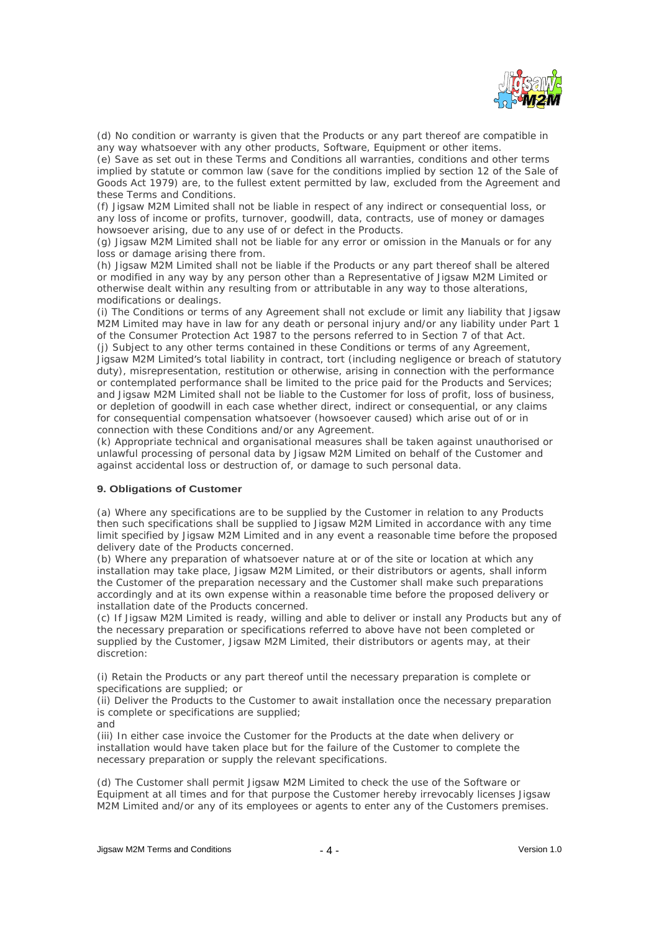

(d) No condition or warranty is given that the Products or any part thereof are compatible in any way whatsoever with any other products, Software, Equipment or other items.

(e) Save as set out in these Terms and Conditions all warranties, conditions and other terms implied by statute or common law (save for the conditions implied by section 12 of the Sale of Goods Act 1979) are, to the fullest extent permitted by law, excluded from the Agreement and these Terms and Conditions.

(f) Jigsaw M2M Limited shall not be liable in respect of any indirect or consequential loss, or any loss of income or profits, turnover, goodwill, data, contracts, use of money or damages howsoever arising, due to any use of or defect in the Products.

(g) Jigsaw M2M Limited shall not be liable for any error or omission in the Manuals or for any loss or damage arising there from.

(h) Jigsaw M2M Limited shall not be liable if the Products or any part thereof shall be altered or modified in any way by any person other than a Representative of Jigsaw M2M Limited or otherwise dealt within any resulting from or attributable in any way to those alterations, modifications or dealings.

(i) The Conditions or terms of any Agreement shall not exclude or limit any liability that Jigsaw M2M Limited may have in law for any death or personal injury and/or any liability under Part 1 of the Consumer Protection Act 1987 to the persons referred to in Section 7 of that Act. (j) Subject to any other terms contained in these Conditions or terms of any Agreement, Jigsaw M2M Limited's total liability in contract, tort (including negligence or breach of statutory duty), misrepresentation, restitution or otherwise, arising in connection with the performance or contemplated performance shall be limited to the price paid for the Products and Services; and Jigsaw M2M Limited shall not be liable to the Customer for loss of profit, loss of business, or depletion of goodwill in each case whether direct, indirect or consequential, or any claims for consequential compensation whatsoever (howsoever caused) which arise out of or in connection with these Conditions and/or any Agreement.

(k) Appropriate technical and organisational measures shall be taken against unauthorised or unlawful processing of personal data by Jigsaw M2M Limited on behalf of the Customer and against accidental loss or destruction of, or damage to such personal data.

#### **9. Obligations of Customer**

(a) Where any specifications are to be supplied by the Customer in relation to any Products then such specifications shall be supplied to Jigsaw M2M Limited in accordance with any time limit specified by Jigsaw M2M Limited and in any event a reasonable time before the proposed delivery date of the Products concerned.

(b) Where any preparation of whatsoever nature at or of the site or location at which any installation may take place, Jigsaw M2M Limited, or their distributors or agents, shall inform the Customer of the preparation necessary and the Customer shall make such preparations accordingly and at its own expense within a reasonable time before the proposed delivery or installation date of the Products concerned.

(c) If Jigsaw M2M Limited is ready, willing and able to deliver or install any Products but any of the necessary preparation or specifications referred to above have not been completed or supplied by the Customer, Jigsaw M2M Limited, their distributors or agents may, at their discretion:

(i) Retain the Products or any part thereof until the necessary preparation is complete or specifications are supplied; or

(ii) Deliver the Products to the Customer to await installation once the necessary preparation is complete or specifications are supplied;

and the contract of the contract of the contract of the contract of the contract of the contract of the contract of the contract of the contract of the contract of the contract of the contract of the contract of the contra

(iii) In either case invoice the Customer for the Products at the date when delivery or installation would have taken place but for the failure of the Customer to complete the necessary preparation or supply the relevant specifications.

(d) The Customer shall permit Jigsaw M2M Limited to check the use of the Software or Equipment at all times and for that purpose the Customer hereby irrevocably licenses Jigsaw M2M Limited and/or any of its employees or agents to enter any of the Customers premises.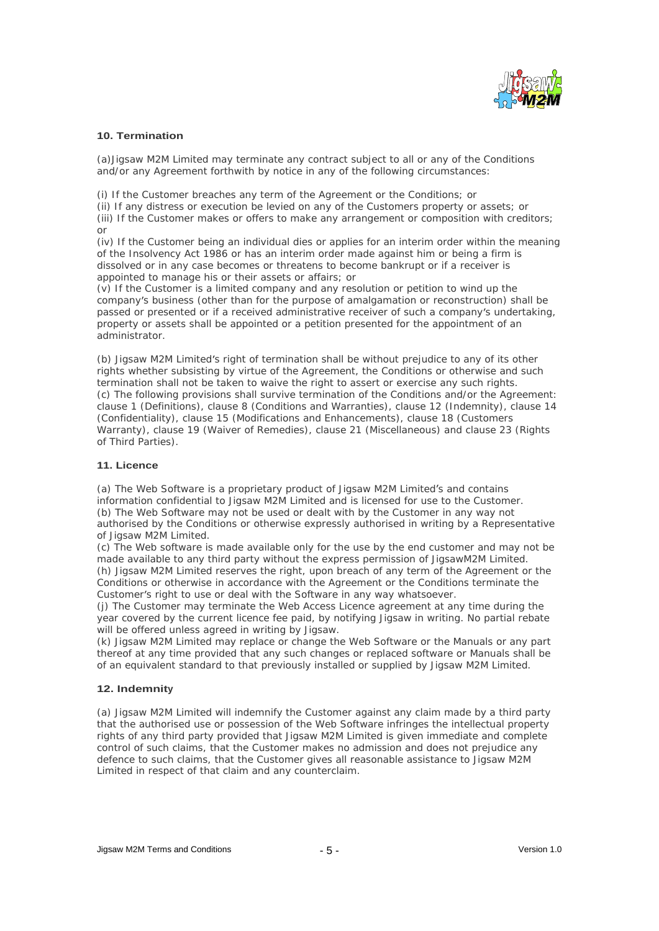

## **10. Termination**

(a)Jigsaw M2M Limited may terminate any contract subject to all or any of the Conditions and/or any Agreement forthwith by notice in any of the following circumstances:

(i) If the Customer breaches any term of the Agreement or the Conditions; or (ii) If any distress or execution be levied on any of the Customers property or assets; or (iii) If the Customer makes or offers to make any arrangement or composition with creditors; or the contract of the contract of the contract of the contract of the contract of the contract of the contract of the contract of the contract of the contract of the contract of the contract of the contract of the contrac

(iv) If the Customer being an individual dies or applies for an interim order within the meaning of the Insolvency Act 1986 or has an interim order made against him or being a firm is dissolved or in any case becomes or threatens to become bankrupt or if a receiver is appointed to manage his or their assets or affairs; or

(v) If the Customer is a limited company and any resolution or petition to wind up the company's business (other than for the purpose of amalgamation or reconstruction) shall be passed or presented or if a received administrative receiver of such a company's undertaking, property or assets shall be appointed or a petition presented for the appointment of an administrator.

(b) Jigsaw M2M Limited's right of termination shall be without prejudice to any of its other rights whether subsisting by virtue of the Agreement, the Conditions or otherwise and such termination shall not be taken to waive the right to assert or exercise any such rights. (c) The following provisions shall survive termination of the Conditions and/or the Agreement: clause 1 (Definitions), clause 8 (Conditions and Warranties), clause 12 (Indemnity), clause 14 (Confidentiality), clause 15 (Modifications and Enhancements), clause 18 (Customers Warranty), clause 19 (Waiver of Remedies), clause 21 (Miscellaneous) and clause 23 (Rights of Third Parties). of Third Parties).

## **11. Licence**

(a) The Web Software is a proprietary product of Jigsaw M2M Limited's and contains information confidential to Jigsaw M2M Limited and is licensed for use to the Customer. (b) The Web Software may not be used or dealt with by the Customer in any way not authorised by the Conditions or otherwise expressly authorised in writing by a Representative of Jigsaw M2M Limited.

(c) The Web software is made available only for the use by the end customer and may not be made available to any third party without the express permission of JigsawM2M Limited. (h) Jigsaw M2M Limited reserves the right, upon breach of any term of the Agreement or the Conditions or otherwise in accordance with the Agreement or the Conditions terminate the Customer's right to use or deal with the Software in any way whatsoever.

(j) The Customer may terminate the Web Access Licence agreement at any time during the year covered by the current licence fee paid, by notifying Jigsaw in writing. No partial rebate will be offered unless agreed in writing by Jigsaw.

(k) Jigsaw M2M Limited may replace or change the Web Software or the Manuals or any part thereof at any time provided that any such changes or replaced software or Manuals shall be of an equivalent standard to that previously installed or supplied by Jigsaw M2M Limited.

## **12. Indemnity**

(a) Jigsaw M2M Limited will indemnify the Customer against any claim made by a third party that the authorised use or possession of the Web Software infringes the intellectual property rights of any third party provided that Jigsaw M2M Limited is given immediate and complete control of such claims, that the Customer makes no admission and does not prejudice any defence to such claims, that the Customer gives all reasonable assistance to Jigsaw M2M Limited in respect of that claim and any counterclaim.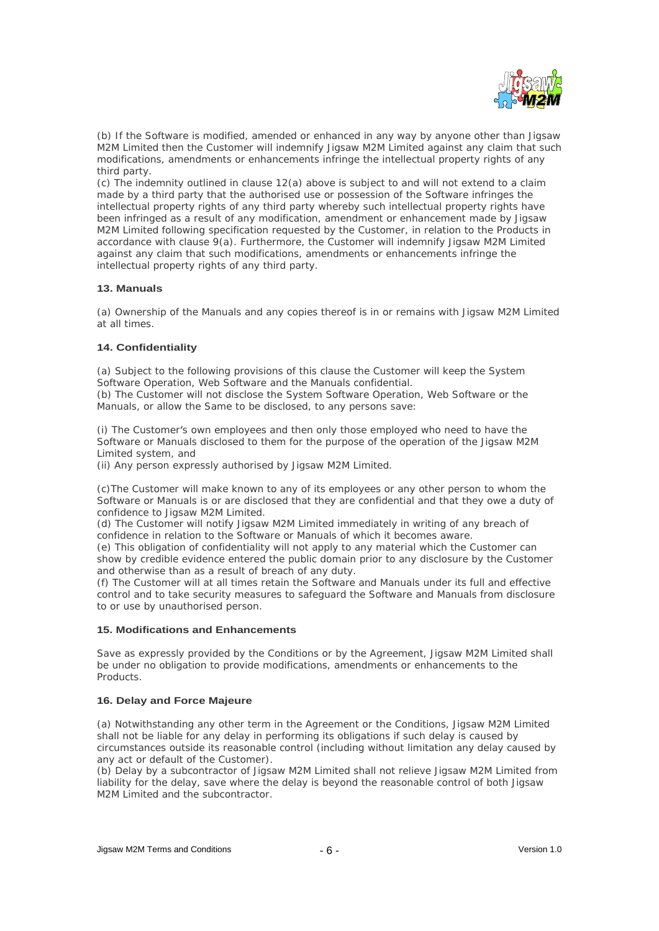

(b) If the Software is modified, amended or enhanced in any way by anyone other than Jigsaw M2M Limited then the Customer will indemnify Jigsaw M2M Limited against any claim that such modifications, amendments or enhancements infringe the intellectual property rights of any third party.

(c) The indemnity outlined in clause 12(a) above is subject to and will not extend to a claim made by a third party that the authorised use or possession of the Software infringes the intellectual property rights of any third party whereby such intellectual property rights have been infringed as a result of any modification, amendment or enhancement made by Jigsaw M2M Limited following specification requested by the Customer, in relation to the Products in accordance with clause 9(a). Furthermore, the Customer will indemnify Jigsaw M2M Limited against any claim that such modifications, amendments or enhancements infringe the intellectual property rights of any third party.

#### **13. Manuals**

(a) Ownership of the Manuals and any copies thereof is in or remains with Jigsaw M2M Limited at all times.

## **14. Confidentiality**

(a) Subject to the following provisions of this clause the Customer will keep the System Software Operation, Web Software and the Manuals confidential.

(b) The Customer will not disclose the System Software Operation, Web Software or the Manuals, or allow the Same to be disclosed, to any persons save:

(i) The Customer's own employees and then only those employed who need to have the Software or Manuals disclosed to them for the purpose of the operation of the Jigsaw M2M Limited system, and

(ii) Any person expressly authorised by Jigsaw M2M Limited.

(c)The Customer will make known to any of its employees or any other person to whom the Software or Manuals is or are disclosed that they are confidential and that they owe a duty of confidence to Jigsaw M2M Limited.

(d) The Customer will notify Jigsaw M2M Limited immediately in writing of any breach of confidence in relation to the Software or Manuals of which it becomes aware.

(e) This obligation of confidentiality will not apply to any material which the Customer can show by credible evidence entered the public domain prior to any disclosure by the Customer and otherwise than as a result of breach of any duty.

(f) The Customer will at all times retain the Software and Manuals under its full and effective control and to take security measures to safeguard the Software and Manuals from disclosure to or use by unauthorised person.

#### **15. Modifications and Enhancements**

Save as expressly provided by the Conditions or by the Agreement, Jigsaw M2M Limited shall be under no obligation to provide modifications, amendments or enhancements to the Products. The contract of the contract of the contract of the contract of the contract of the contract of the contract of the contract of the contract of the contract of the contract of the contract of the contract of the

## **16. Delay and Force Majeure**

(a) Notwithstanding any other term in the Agreement or the Conditions, Jigsaw M2M Limited shall not be liable for any delay in performing its obligations if such delay is caused by circumstances outside its reasonable control (including without limitation any delay caused by any act or default of the Customer).

(b) Delay by a subcontractor of Jigsaw M2M Limited shall not relieve Jigsaw M2M Limited from liability for the delay, save where the delay is beyond the reasonable control of both Jigsaw M2M Limited and the subcontractor.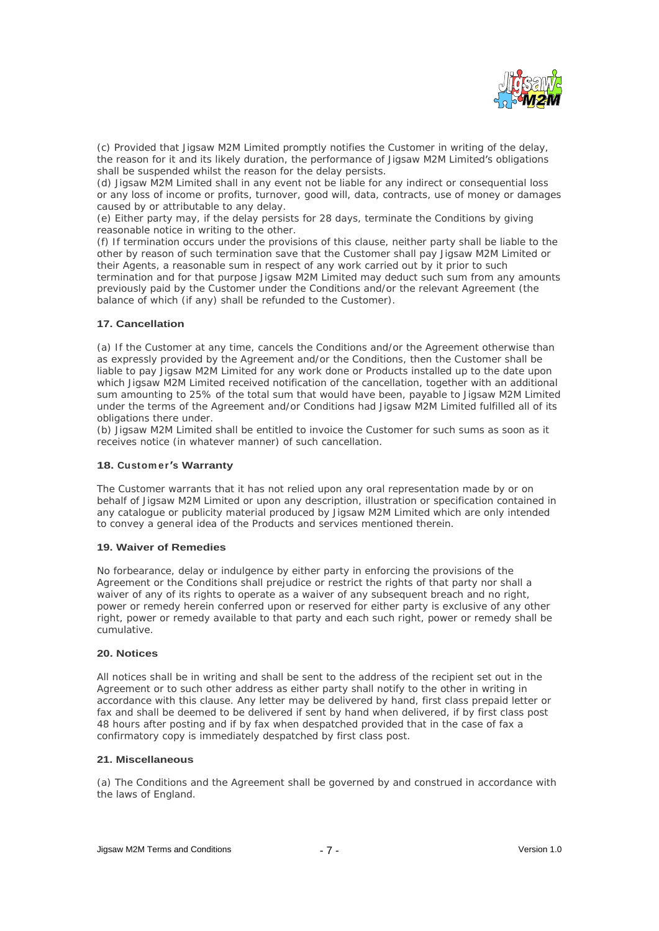

(c) Provided that Jigsaw M2M Limited promptly notifies the Customer in writing of the delay, the reason for it and its likely duration, the performance of Jigsaw M2M Limited's obligations shall be suspended whilst the reason for the delay persists.

(d) Jigsaw M2M Limited shall in any event not be liable for any indirect or consequential loss or any loss of income or profits, turnover, good will, data, contracts, use of money or damages caused by or attributable to any delay.

(e) Either party may, if the delay persists for 28 days, terminate the Conditions by giving reasonable notice in writing to the other.

(f) If termination occurs under the provisions of this clause, neither party shall be liable to the other by reason of such termination save that the Customer shall pay Jigsaw M2M Limited or their Agents, a reasonable sum in respect of any work carried out by it prior to such termination and for that purpose Jigsaw M2M Limited may deduct such sum from any amounts previously paid by the Customer under the Conditions and/or the relevant Agreement (the balance of which (if any) shall be refunded to the Customer).

## **17. Cancellation**

(a) If the Customer at any time, cancels the Conditions and/or the Agreement otherwise than as expressly provided by the Agreement and/or the Conditions, then the Customer shall be liable to pay Jigsaw M2M Limited for any work done or Products installed up to the date upon which Jigsaw M2M Limited received notification of the cancellation, together with an additional sum amounting to 25% of the total sum that would have been, payable to Jigsaw M2M Limited under the terms of the Agreement and/or Conditions had Jigsaw M2M Limited fulfilled all of its obligations there under.

(b) Jigsaw M2M Limited shall be entitled to invoice the Customer for such sums as soon as it receives notice (in whatever manner) of such cancellation.

## **18. Custom er s Warranty**

The Customer warrants that it has not relied upon any oral representation made by or on behalf of Jigsaw M2M Limited or upon any description, illustration or specification contained in any catalogue or publicity material produced by Jigsaw M2M Limited which are only intended to convey a general idea of the Products and services mentioned therein.

#### **19. Waiver of Remedies**

No forbearance, delay or indulgence by either party in enforcing the provisions of the Agreement or the Conditions shall prejudice or restrict the rights of that party nor shall a waiver of any of its rights to operate as a waiver of any subsequent breach and no right, power or remedy herein conferred upon or reserved for either party is exclusive of any other right, power or remedy available to that party and each such right, power or remedy shall be cumulative.

## **20. Notices**

All notices shall be in writing and shall be sent to the address of the recipient set out in the Agreement or to such other address as either party shall notify to the other in writing in accordance with this clause. Any letter may be delivered by hand, first class prepaid letter or fax and shall be deemed to be delivered if sent by hand when delivered, if by first class post 48 hours after posting and if by fax when despatched provided that in the case of fax a confirmatory copy is immediately despatched by first class post.

#### **21. Miscellaneous**

(a) The Conditions and the Agreement shall be governed by and construed in accordance with the laws of England.